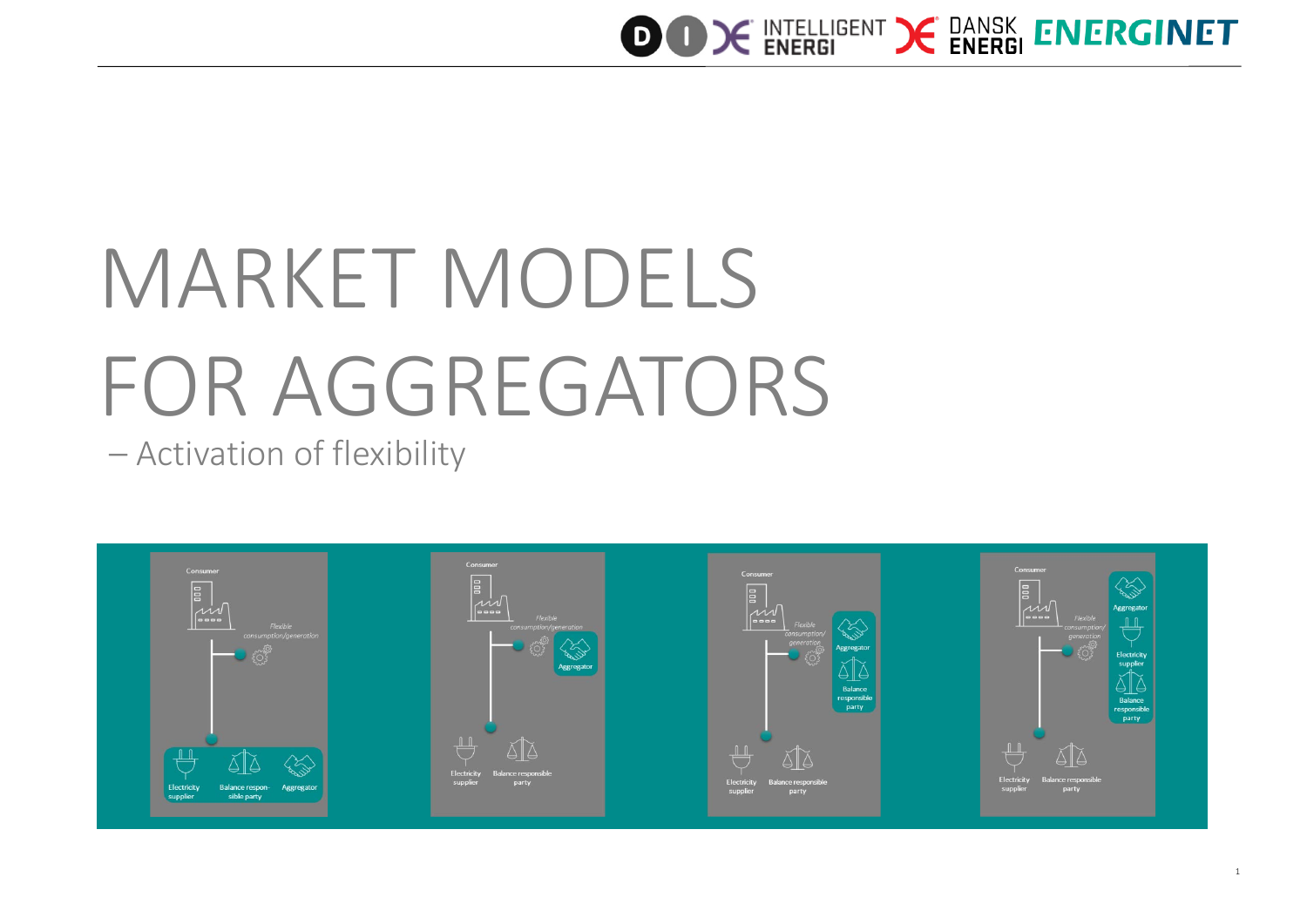

# MARKET MODELS FOR AGGREGATORS

– Activation of flexibility

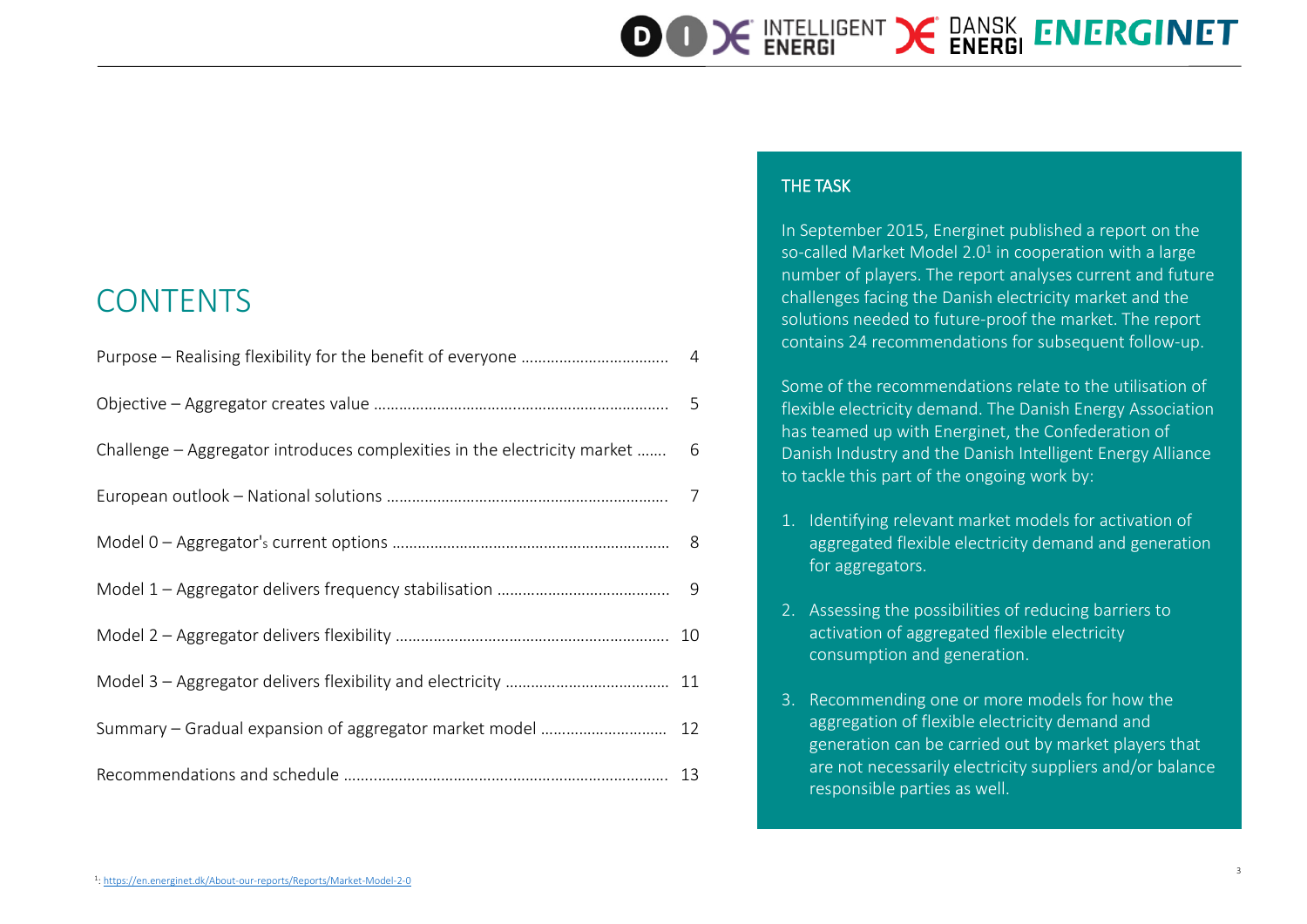| <b>In Septer</b> |
|------------------|
| so-called        |
| number           |

### **CONTENTS**

| Challenge – Aggregator introduces complexities in the electricity market  6 |  |
|-----------------------------------------------------------------------------|--|
|                                                                             |  |
|                                                                             |  |
|                                                                             |  |
|                                                                             |  |
|                                                                             |  |
| Summary - Gradual expansion of aggregator market model  12                  |  |
|                                                                             |  |

#### THE TASK

mber 2015, Energinet published a report on the Market Model 2.0<sup>1</sup> in cooperation with a large of players. The report analyses current and future challenges facing the Danish electricity market and the solutions needed to future-proof the market. The report contains 24 recommendations for subsequent follow-up.

**OOK INTELLIGENT X DANSK ENERGINET** 

Some of the recommendations relate to the utilisation of flexible electricity demand. The Danish Energy Association has teamed up with Energinet, the Confederation of Danish Industry and the Danish Intelligent Energy Alliance to tackle this part of the ongoing work by:

- 1. Identifying relevant market models for activation of aggregated flexible electricity demand and generation for aggregators.
- 2. Assessing the possibilities of reducing barriers to activation of aggregated flexible electricity consumption and generation.
- 3. Recommending one or more models for how the aggregation of flexible electricity demand and generation can be carried out by market players that are not necessarily electricity suppliers and/or balance responsible parties as well.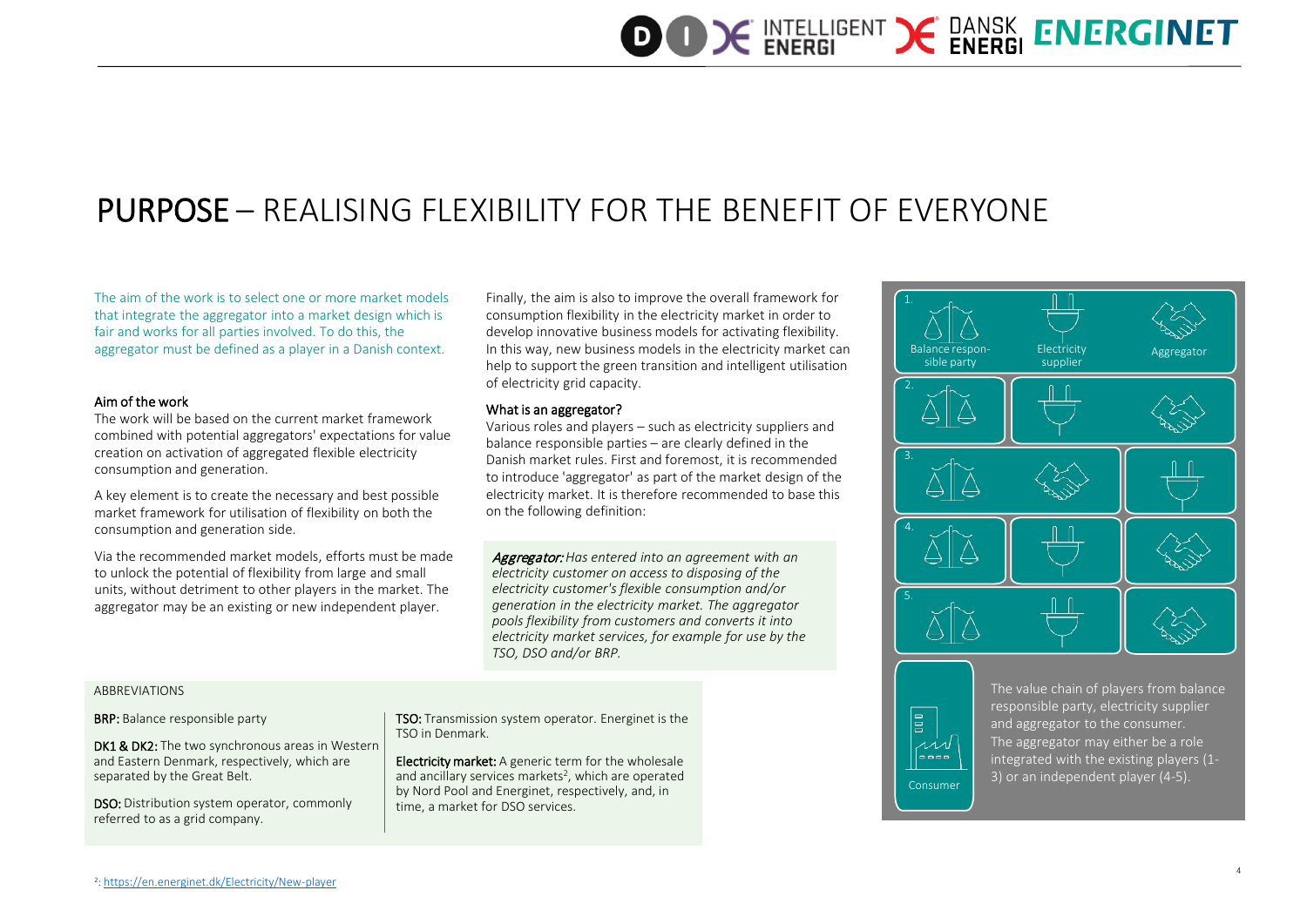### PURPOSE – REALISING FLEXIBILITY FOR THE BENEFIT OF EVERYONE

The aim of the work is to select one or more market models that integrate the aggregator into a market design which is fair and works for all parties involved. To do this, the aggregator must be defined as a player in a Danish context.

#### Aim of the work

The work will be based on the current market framework combined with potential aggregators' expectations for value creation on activation of aggregated flexible electricity consumption and generation.

A key element is to create the necessary and best possible market framework for utilisation of flexibility on both the consumption and generation side.

Via the recommended market models, efforts must be made to unlock the potential of flexibility from large and small units, without detriment to other players in the market. The aggregator may be an existing or new independent player.

Finally, the aim is also to improve the overall framework for consumption flexibility in the electricity market in order to develop innovative business models for activating flexibility. In this way, new business models in the electricity market can help to support the green transition and intelligent utilisation of electricity grid capacity.

#### What is an aggregator?

Various roles and players – such as electricity suppliers and balance responsible parties – are clearly defined in the Danish market rules. First and foremost, it is recommended to introduce 'aggregator' as part of the market design of the electricity market. It is therefore recommended to base this on the following definition:

Aggregator: *Has entered into an agreement with an electricity customer on access to disposing of the electricity customer's flexible consumption and/or generation in the electricity market. The aggregator pools flexibility from customers and converts it into electricity market services, for example for use by the TSO, DSO and/or BRP.*

ABBREVIATIONS

#### BRP: Balance responsible party

DK1 & DK2: The two synchronous areas in Western and Eastern Denmark, respectively, which are separated by the Great Belt.

DSO: Distribution system operator, commonly referred to as a grid company.

TSO: Transmission system operator. Energinet is the TSO in Denmark.

Electricity market: A generic term for the wholesale and ancillary services markets<sup>2</sup>, which are operated by Nord Pool and Energinet, respectively, and, in time, a market for DSO services.





The value chain of players from balance responsible party, electricity supplier and aggregator to the consumer. The aggregator may either be a role integrated with the existing players (1- 3) or an independent player (4-5).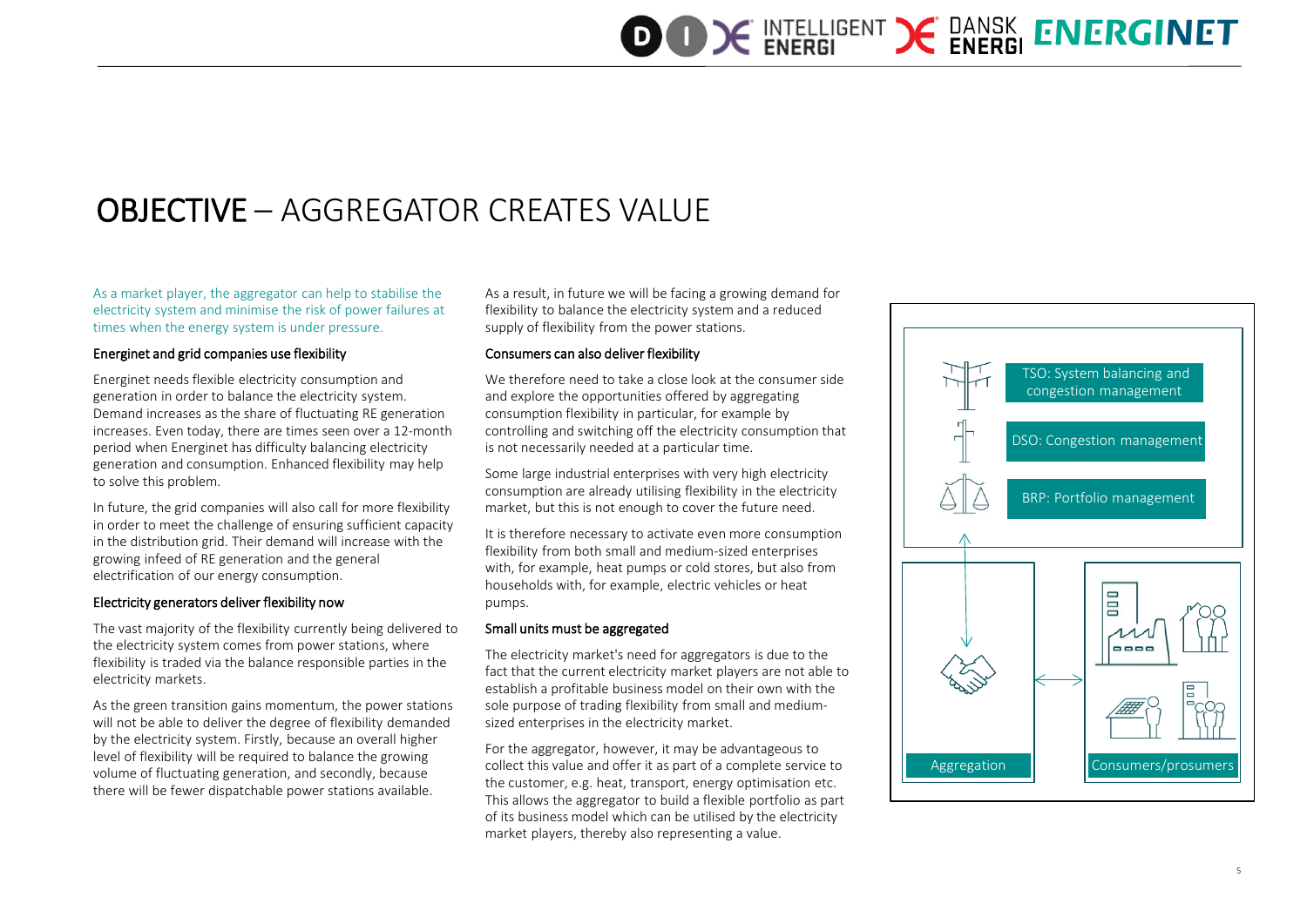### OBJECTIVE – AGGREGATOR CREATES VALUE

As a market player, the aggregator can help to stabilise the electricity system and minimise the risk of power failures at times when the energy system is under pressure.

#### Energinet and grid companies use flexibility

Energinet needs flexible electricity consumption and generation in order to balance the electricity system. Demand increases as the share of fluctuating RE generation increases. Even today, there are times seen over a 12-month period when Energinet has difficulty balancing electricity generation and consumption. Enhanced flexibility may help to solve this problem.

In future, the grid companies will also call for more flexibility in order to meet the challenge of ensuring sufficient capacity in the distribution grid. Their demand will increase with the growing infeed of RE generation and the general electrification of our energy consumption.

#### Electricity generators deliver flexibility now

The vast majority of the flexibility currently being delivered to the electricity system comes from power stations, where flexibility is traded via the balance responsible parties in the electricity markets.

As the green transition gains momentum, the power stations will not be able to deliver the degree of flexibility demanded by the electricity system. Firstly, because an overall higher level of flexibility will be required to balance the growing volume of fluctuating generation, and secondly, because there will be fewer dispatchable power stations available.

As a result, in future we will be facing a growing demand for flexibility to balance the electricity system and a reduced supply of flexibility from the power stations.

#### Consumers can also deliver flexibility

We therefore need to take a close look at the consumer side and explore the opportunities offered by aggregating consumption flexibility in particular, for example by controlling and switching off the electricity consumption that is not necessarily needed at a particular time.

Some large industrial enterprises with very high electricity consumption are already utilising flexibility in the electricity market, but this is not enough to cover the future need.

It is therefore necessary to activate even more consumption flexibility from both small and medium-sized enterprises with, for example, heat pumps or cold stores, but also from households with, for example, electric vehicles or heat pumps.

#### Small units must be aggregated

The electricity market's need for aggregators is due to the fact that the current electricity market players are not able to establish a profitable business model on their own with the sole purpose of trading flexibility from small and mediumsized enterprises in the electricity market.

For the aggregator, however, it may be advantageous to collect this value and offer it as part of a complete service to the customer, e.g. heat, transport, energy optimisation etc. This allows the aggregator to build a flexible portfolio as part of its business model which can be utilised by the electricity market players, thereby also representing a value.

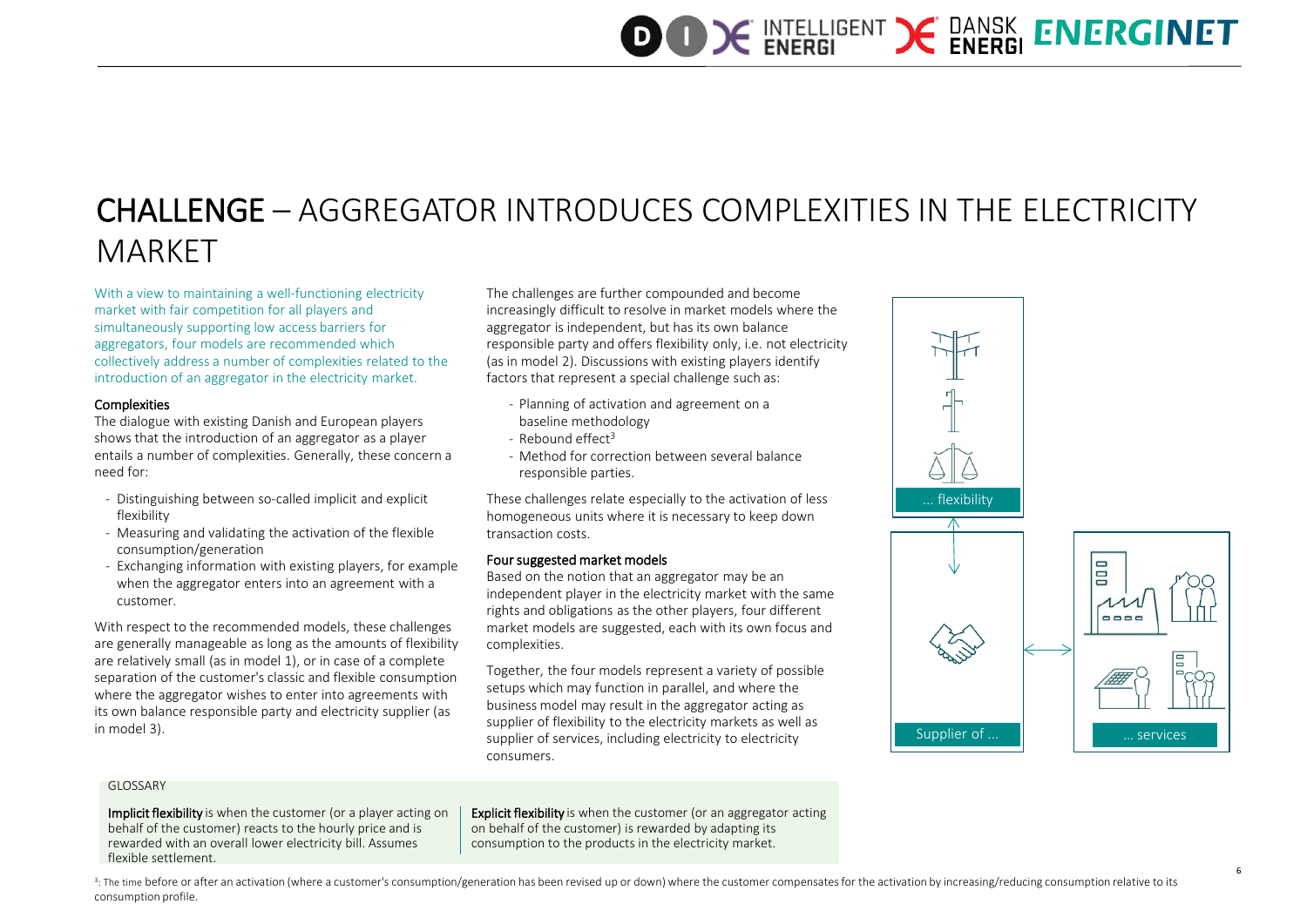### CHALLENGE – AGGREGATOR INTRODUCES COMPLEXITIES IN THE ELECTRICITY MARKET

With a view to maintaining a well-functioning electricity market with fair competition for all players and simultaneously supporting low access barriers for aggregators, four models are recommended which collectively address a number of complexities related to the introduction of an aggregator in the electricity market.

#### **Complexities**

The dialogue with existing Danish and European players shows that the introduction of an aggregator as a player entails a number of complexities. Generally, these concern a need for:

- Distinguishing between so-called implicit and explicit flexibility
- Measuring and validating the activation of the flexible consumption/generation
- Exchanging information with existing players, for example when the aggregator enters into an agreement with a customer.

With respect to the recommended models, these challenges are generally manageable as long as the amounts of flexibility are relatively small (as in model 1), or in case of a complete separation of the customer's classic and flexible consumption where the aggregator wishes to enter into agreements with its own balance responsible party and electricity supplier (as in model 3).

The challenges are further compounded and become increasingly difficult to resolve in market models where the aggregator is independent, but has its own balance responsible party and offers flexibility only, i.e. not electricity (as in model 2). Discussions with existing players identify factors that represent a special challenge such as:

- Planning of activation and agreement on a baseline methodology
- $-$  Rebound effect<sup>3</sup>
- Method for correction between several balance responsible parties.

These challenges relate especially to the activation of less homogeneous units where it is necessary to keep down transaction costs.

#### Four suggested market models

Based on the notion that an aggregator may be an independent player in the electricity market with the same rights and obligations as the other players, four different market models are suggested, each with its own focus and complexities.

Together, the four models represent a variety of possible setups which may function in parallel, and where the business model may result in the aggregator acting as supplier of flexibility to the electricity markets as well as supplier of services, including electricity to electricity consumers.



#### **GLOSSARY**

Implicit flexibility is when the customer (or a player acting on behalf of the customer) reacts to the hourly price and is rewarded with an overall lower electricity bill. Assumes flexible settlement.

**Explicit flexibility** is when the customer (or an aggregator acting on behalf of the customer) is rewarded by adapting its consumption to the products in the electricity market.

3: The time before or after an activation (where a customer's consumption/generation has been revised up or down) where the customer compensates for the activation by increasing/reducing consumption relative to its consumption profile.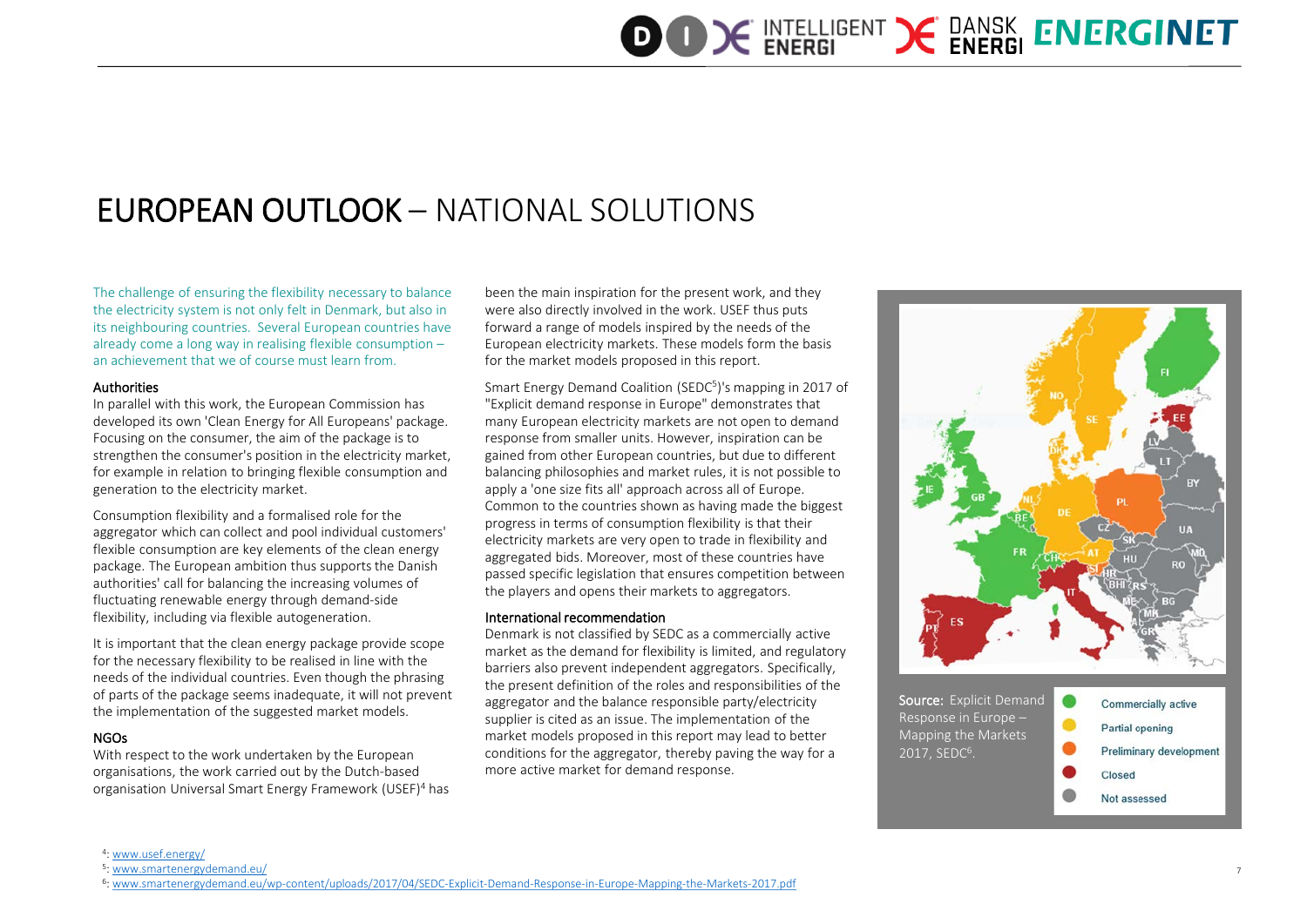### EUROPEAN OUTLOOK – NATIONAL SOLUTIONS

The challenge of ensuring the flexibility necessary to balance the electricity system is not only felt in Denmark, but also in its neighbouring countries. Several European countries have already come a long way in realising flexible consumption – an achievement that we of course must learn from.

#### **Authorities**

In parallel with this work, the European Commission has developed its own 'Clean Energy for All Europeans' package. Focusing on the consumer, the aim of the package is to strengthen the consumer's position in the electricity market, for example in relation to bringing flexible consumption and generation to the electricity market.

Consumption flexibility and a formalised role for the aggregator which can collect and pool individual customers' flexible consumption are key elements of the clean energy package. The European ambition thus supports the Danish authorities' call for balancing the increasing volumes of fluctuating renewable energy through demand-side flexibility, including via flexible autogeneration.

It is important that the clean energy package provide scope for the necessary flexibility to be realised in line with the needs of the individual countries. Even though the phrasing of parts of the package seems inadequate, it will not prevent the implementation of the suggested market models.

#### NGOs

With respect to the work undertaken by the European organisations, the work carried out by the Dutch-based organisation Universal Smart Energy Framework (USEF)4 has been the main inspiration for the present work, and they were also directly involved in the work. USEF thus puts forward a range of models inspired by the needs of the European electricity markets. These models form the basis for the market models proposed in this report.

Smart Energy Demand Coalition (SEDC<sup>5</sup>)'s mapping in 2017 of "Explicit demand response in Europe" demonstrates that many European electricity markets are not open to demand response from smaller units. However, inspiration can be gained from other European countries, but due to different balancing philosophies and market rules, it is not possible to apply a 'one size fits all' approach across all of Europe. Common to the countries shown as having made the biggest progress in terms of consumption flexibility is that their electricity markets are very open to trade in flexibility and aggregated bids. Moreover, most of these countries have passed specific legislation that ensures competition between the players and opens their markets to aggregators.

#### International recommendation

Denmark is not classified by SEDC as a commercially active market as the demand for flexibility is limited, and regulatory barriers also prevent independent aggregators. Specifically, the present definition of the roles and responsibilities of the aggregator and the balance responsible party/electricity supplier is cited as an issue. The implementation of the market models proposed in this report may lead to better conditions for the aggregator, thereby paving the way for a more active market for demand response.



<sup>4:</sup> [www.usef.energy/](https://www.usef.energy/)

<sup>5:</sup> [www.smartenergydemand.eu/](http://www.smartenergydemand.eu/)<br>6:www.smartenergydemand.eu/wp-content/uploads/2017/04/SEDC-Explicit-Demand-Response-in-Europe-Mapping-the-Markets-2017.pdf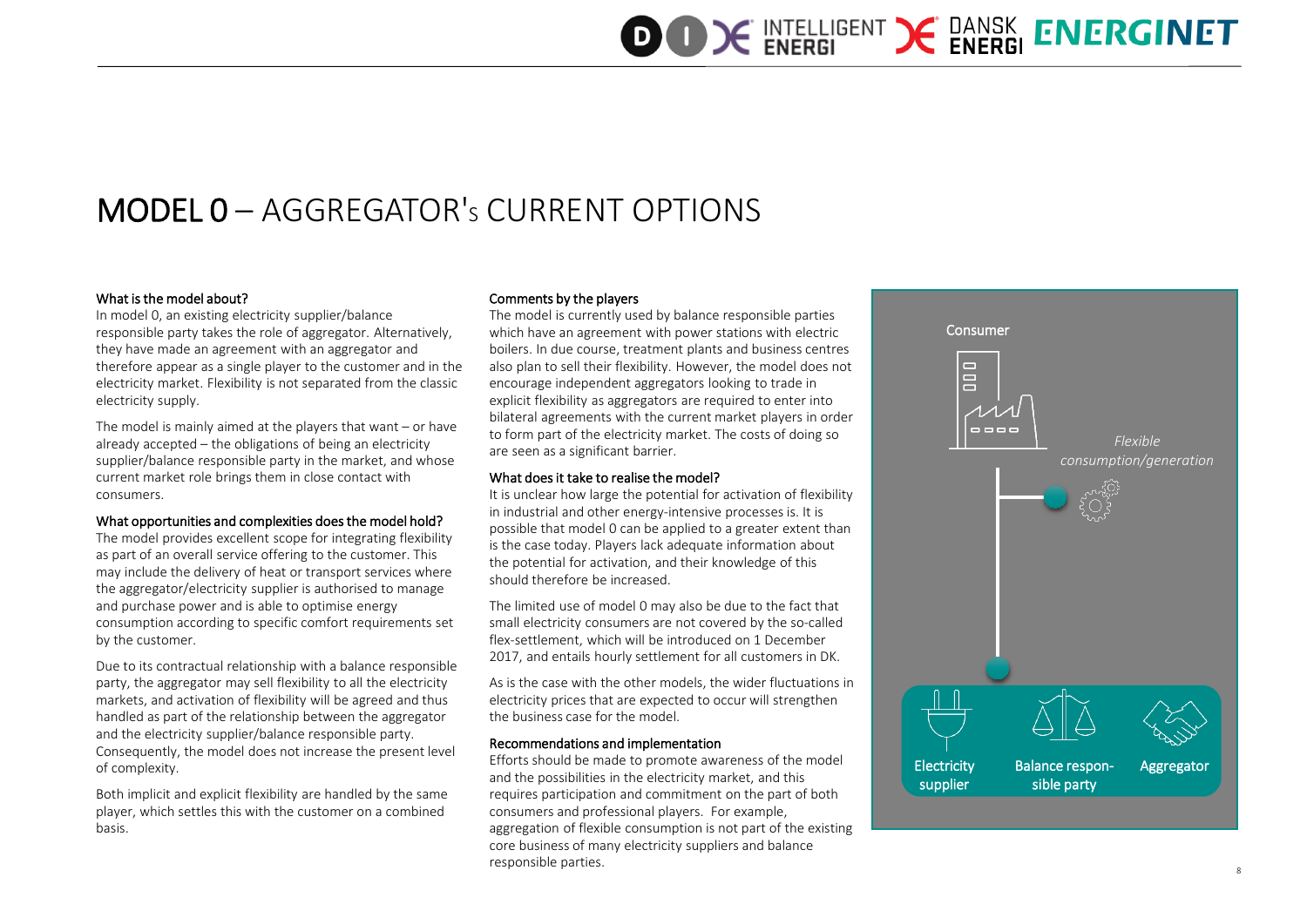### MODEL 0 – AGGREGATOR'S CURRENT OPTIONS

#### What is the model about?

In model 0, an existing electricity supplier/balance responsible party takes the role of aggregator. Alternatively, they have made an agreement with an aggregator and therefore appear as a single player to the customer and in the electricity market. Flexibility is not separated from the classic electricity supply.

The model is mainly aimed at the players that want – or have already accepted – the obligations of being an electricity supplier/balance responsible party in the market, and whose current market role brings them in close contact with consumers.

#### What opportunities and complexities does the model hold?

The model provides excellent scope for integrating flexibility as part of an overall service offering to the customer. This may include the delivery of heat or transport services where the aggregator/electricity supplier is authorised to manage and purchase power and is able to optimise energy consumption according to specific comfort requirements set by the customer.

Due to its contractual relationship with a balance responsible party, the aggregator may sell flexibility to all the electricity markets, and activation of flexibility will be agreed and thus handled as part of the relationship between the aggregator and the electricity supplier/balance responsible party. Consequently, the model does not increase the present level of complexity.

Both implicit and explicit flexibility are handled by the same player, which settles this with the customer on a combined basis.

#### Comments by the players

The model is currently used by balance responsible parties which have an agreement with power stations with electric boilers. In due course, treatment plants and business centres also plan to sell their flexibility. However, the model does not encourage independent aggregators looking to trade in explicit flexibility as aggregators are required to enter into bilateral agreements with the current market players in order to form part of the electricity market. The costs of doing so are seen as a significant barrier.

#### What does it take to realise the model?

It is unclear how large the potential for activation of flexibility in industrial and other energy-intensive processes is. It is possible that model 0 can be applied to a greater extent than is the case today. Players lack adequate information about the potential for activation, and their knowledge of this should therefore be increased.

The limited use of model 0 may also be due to the fact that small electricity consumers are not covered by the so-called flex-settlement, which will be introduced on 1 December 2017, and entails hourly settlement for all customers in DK.

As is the case with the other models, the wider fluctuations in electricity prices that are expected to occur will strengthen the business case for the model.

#### Recommendations and implementation

Efforts should be made to promote awareness of the model and the possibilities in the electricity market, and this requires participation and commitment on the part of both consumers and professional players. For example, aggregation of flexible consumption is not part of the existing core business of many electricity suppliers and balance responsible parties.

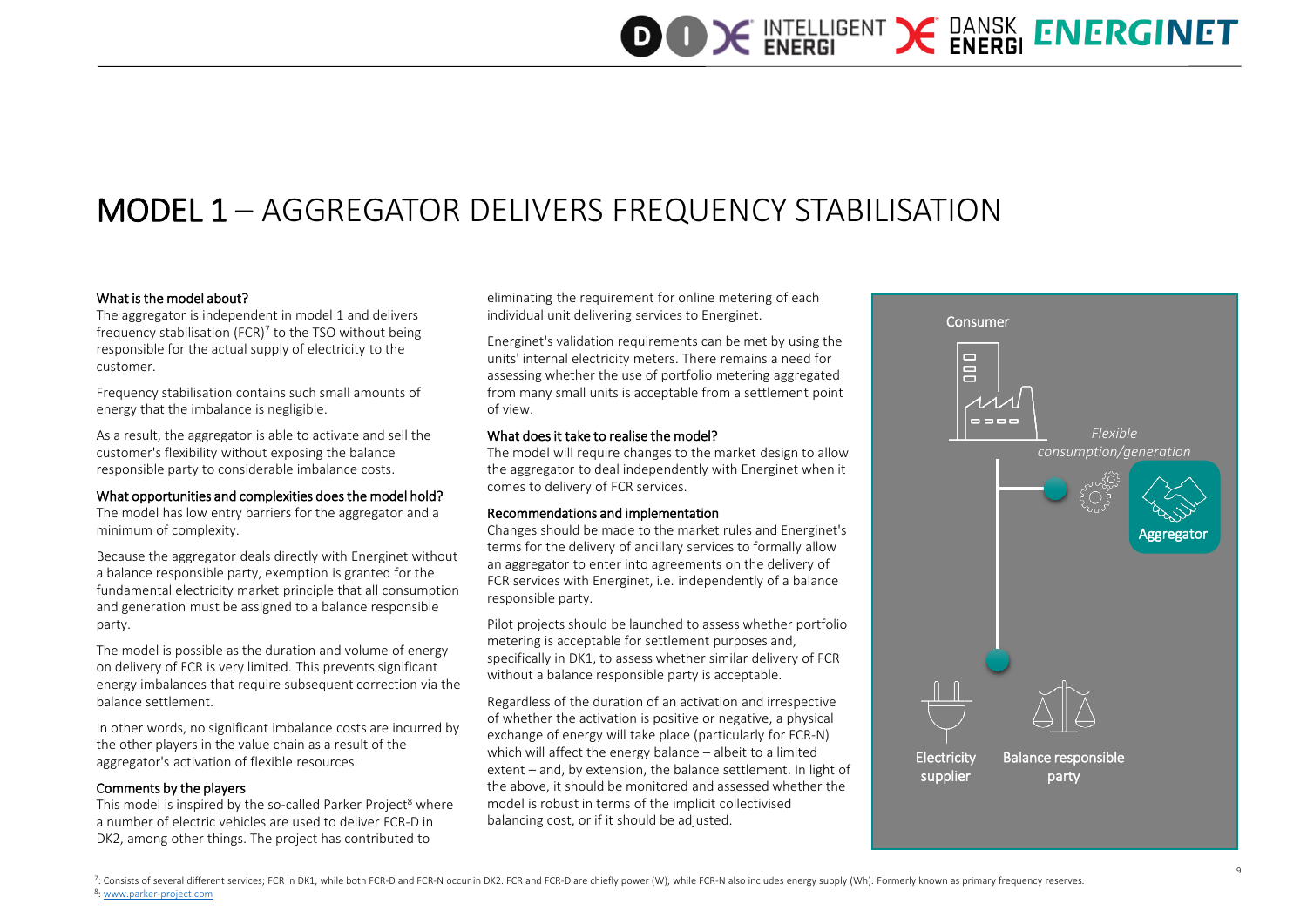### MODEL 1 – AGGREGATOR DELIVERS FREQUENCY STABILISATION

#### What is the model about?

The aggregator is independent in model 1 and delivers frequency stabilisation (FCR) $<sup>7</sup>$  to the TSO without being</sup> responsible for the actual supply of electricity to the customer.

Frequency stabilisation contains such small amounts of energy that the imbalance is negligible.

As a result, the aggregator is able to activate and sell the customer's flexibility without exposing the balance responsible party to considerable imbalance costs.

#### What opportunities and complexities does the model hold?

The model has low entry barriers for the aggregator and a minimum of complexity.

Because the aggregator deals directly with Energinet without a balance responsible party, exemption is granted for the fundamental electricity market principle that all consumption and generation must be assigned to a balance responsible party.

The model is possible as the duration and volume of energy on delivery of FCR is very limited. This prevents significant energy imbalances that require subsequent correction via the balance settlement.

In other words, no significant imbalance costs are incurred by the other players in the value chain as a result of the aggregator's activation of flexible resources.

#### Comments by the players

This model is inspired by the so-called Parker Project<sup>8</sup> where a number of electric vehicles are used to deliver FCR-D in DK2, among other things. The project has contributed to

eliminating the requirement for online metering of each individual unit delivering services to Energinet.

Energinet's validation requirements can be met by using the units' internal electricity meters. There remains a need for assessing whether the use of portfolio metering aggregated from many small units is acceptable from a settlement point of view.

#### What does it take to realise the model?

The model will require changes to the market design to allow the aggregator to deal independently with Energinet when it comes to delivery of FCR services.

#### Recommendations and implementation

Changes should be made to the market rules and Energinet's terms for the delivery of ancillary services to formally allow an aggregator to enter into agreements on the delivery of FCR services with Energinet, i.e. independently of a balance responsible party.

Pilot projects should be launched to assess whether portfolio metering is acceptable for settlement purposes and, specifically in DK1, to assess whether similar delivery of FCR without a balance responsible party is acceptable.

Regardless of the duration of an activation and irrespective of whether the activation is positive or negative, a physical exchange of energy will take place (particularly for FCR-N) which will affect the energy balance – albeit to a limited extent – and, by extension, the balance settlement. In light of the above, it should be monitored and assessed whether the model is robust in terms of the implicit collectivised balancing cost, or if it should be adjusted.

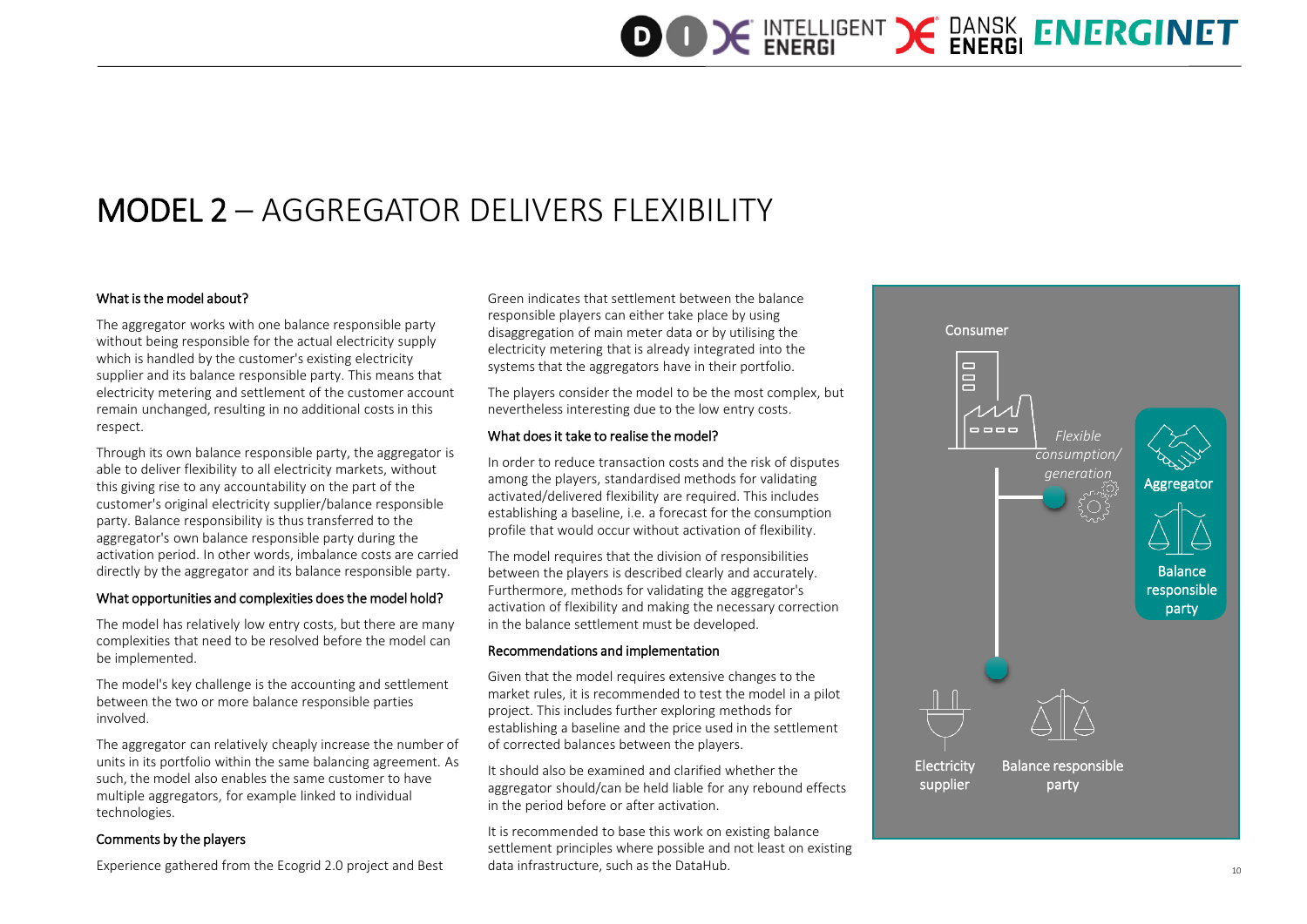### MODEL 2 – AGGREGATOR DELIVERS FLEXIBILITY

#### What is the model about?

The aggregator works with one balance responsible party without being responsible for the actual electricity supply which is handled by the customer's existing electricity supplier and its balance responsible party. This means that electricity metering and settlement of the customer account remain unchanged, resulting in no additional costs in this respect.

Through its own balance responsible party, the aggregator is able to deliver flexibility to all electricity markets, without this giving rise to any accountability on the part of the customer's original electricity supplier/balance responsible party. Balance responsibility is thus transferred to the aggregator's own balance responsible party during the activation period. In other words, imbalance costs are carried directly by the aggregator and its balance responsible party.

#### What opportunities and complexities does the model hold?

The model has relatively low entry costs, but there are many complexities that need to be resolved before the model can be implemented.

The model's key challenge is the accounting and settlement between the two or more balance responsible parties involved.

The aggregator can relatively cheaply increase the number of units in its portfolio within the same balancing agreement. As such, the model also enables the same customer to have multiple aggregators, for example linked to individual technologies.

#### Comments by the players

Experience gathered from the Ecogrid 2.0 project and Best

Green indicates that settlement between the balance responsible players can either take place by using disaggregation of main meter data or by utilising the electricity metering that is already integrated into the systems that the aggregators have in their portfolio.

The players consider the model to be the most complex, but nevertheless interesting due to the low entry costs.

#### What does it take to realise the model?

In order to reduce transaction costs and the risk of disputes among the players, standardised methods for validating activated/delivered flexibility are required. This includes establishing a baseline, i.e. a forecast for the consumption profile that would occur without activation of flexibility.

The model requires that the division of responsibilities between the players is described clearly and accurately. Furthermore, methods for validating the aggregator's activation of flexibility and making the necessary correction in the balance settlement must be developed.

#### Recommendations and implementation

Given that the model requires extensive changes to the market rules, it is recommended to test the model in a pilot project. This includes further exploring methods for establishing a baseline and the price used in the settlement of corrected balances between the players.

It should also be examined and clarified whether the aggregator should/can be held liable for any rebound effects in the period before or after activation.

It is recommended to base this work on existing balance settlement principles where possible and not least on existing data infrastructure, such as the DataHub. 10

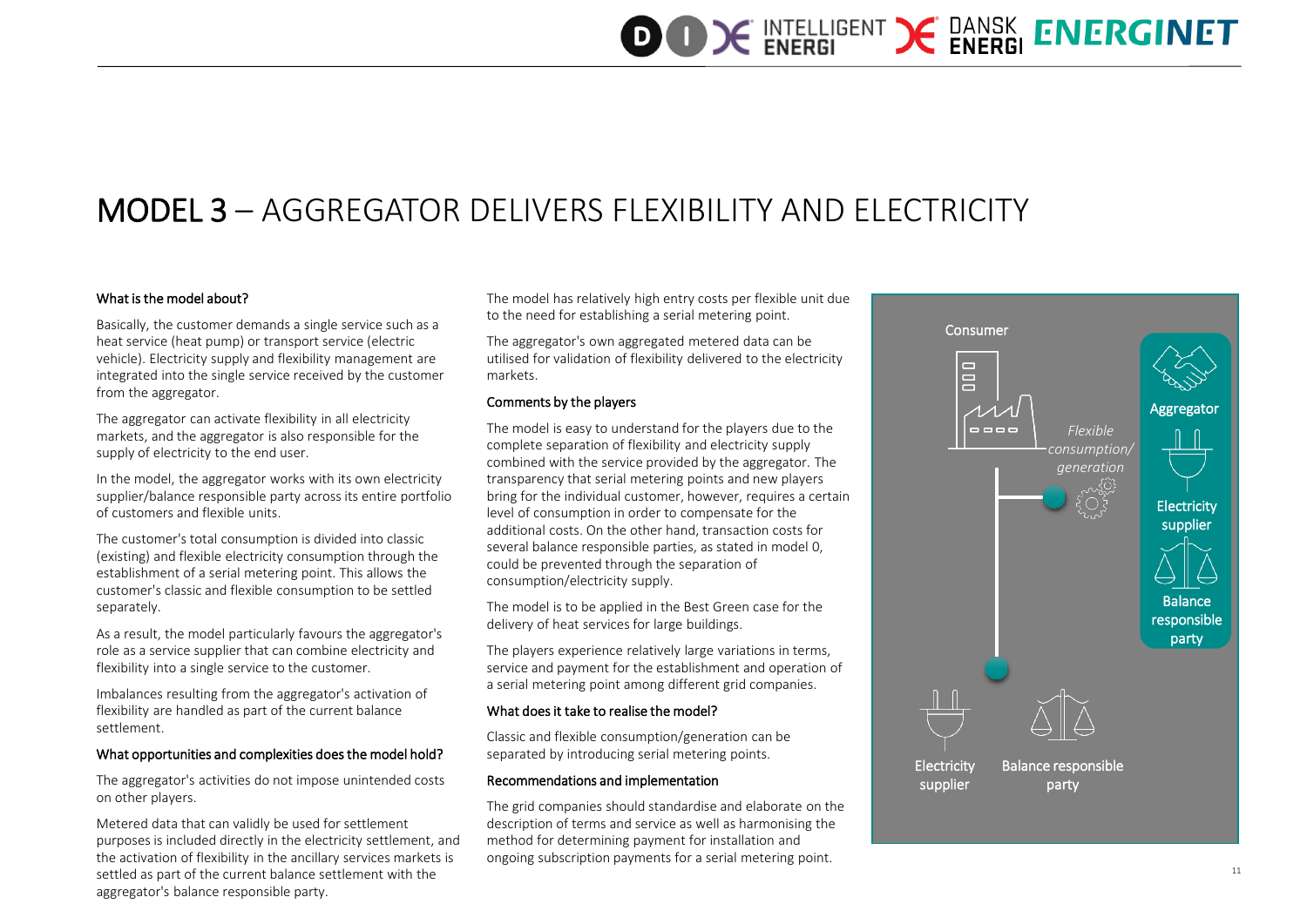### MODEL 3 – AGGREGATOR DELIVERS FLEXIBILITY AND ELECTRICITY

#### What is the model about?

Basically, the customer demands a single service such as a heat service (heat pump) or transport service (electric vehicle). Electricity supply and flexibility management are integrated into the single service received by the customer from the aggregator.

The aggregator can activate flexibility in all electricity markets, and the aggregator is also responsible for the supply of electricity to the end user.

In the model, the aggregator works with its own electricity supplier/balance responsible party across its entire portfolio of customers and flexible units.

The customer's total consumption is divided into classic (existing) and flexible electricity consumption through the establishment of a serial metering point. This allows the customer's classic and flexible consumption to be settled separately.

As a result, the model particularly favours the aggregator's role as a service supplier that can combine electricity and flexibility into a single service to the customer.

Imbalances resulting from the aggregator's activation of flexibility are handled as part of the current balance settlement.

#### What opportunities and complexities does the model hold?

The aggregator's activities do not impose unintended costs on other players.

Metered data that can validly be used for settlement purposes is included directly in the electricity settlement, and the activation of flexibility in the ancillary services markets is settled as part of the current balance settlement with the aggregator's balance responsible party.

The model has relatively high entry costs per flexible unit due to the need for establishing a serial metering point.

The aggregator's own aggregated metered data can be utilised for validation of flexibility delivered to the electricity markets.

#### Comments by the players

The model is easy to understand for the players due to the complete separation of flexibility and electricity supply combined with the service provided by the aggregator. The transparency that serial metering points and new players bring for the individual customer, however, requires a certain level of consumption in order to compensate for the additional costs. On the other hand, transaction costs for several balance responsible parties, as stated in model 0, could be prevented through the separation of consumption/electricity supply.

The model is to be applied in the Best Green case for the delivery of heat services for large buildings.

The players experience relatively large variations in terms, service and payment for the establishment and operation of a serial metering point among different grid companies.

#### What does it take to realise the model?

Classic and flexible consumption/generation can be separated by introducing serial metering points.

#### Recommendations and implementation

The grid companies should standardise and elaborate on the description of terms and service as well as harmonising the method for determining payment for installation and ongoing subscription payments for a serial metering point.

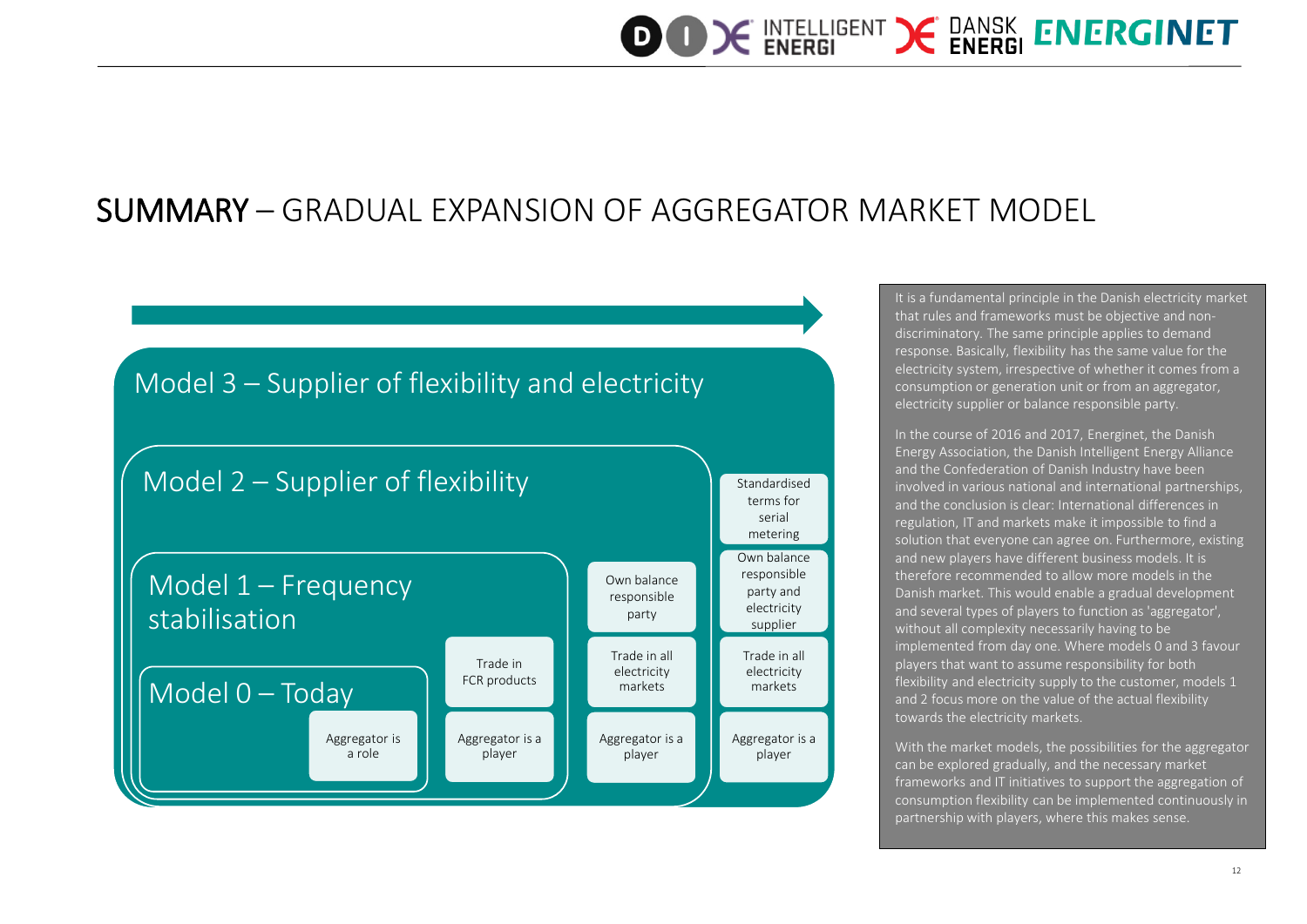### SUMMARY – GRADUAL EXPANSION OF AGGREGATOR MARKET MODEL



It is a fundamental principle in the Danish electricity market that rules and frameworks must be objective and nondiscriminatory. The same principle applies to demand response. Basically, flexibility has the same value for the electricity system, irrespective of whether it comes from a consumption or generation unit or from an aggregator, electricity supplier or balance responsible party.

In the course of 2016 and 2017, Energinet, the Danish Energy Association, the Danish Intelligent Energy Alliance and the Confederation of Danish Industry have been involved in various national and international partnerships, and the conclusion is clear: International differences in regulation, IT and markets make it impossible to find a solution that everyone can agree on. Furthermore, existing and new players have different business models. It is therefore recommended to allow more models in the Danish market. This would enable a gradual development and several types of players to function as 'aggregator', without all complexity necessarily having to be implemented from day one. Where models 0 and 3 favour players that want to assume responsibility for both flexibility and electricity supply to the customer, models 1 and 2 focus more on the value of the actual flexibility towards the electricity markets.

With the market models, the possibilities for the aggregator can be explored gradually, and the necessary market frameworks and IT initiatives to support the aggregation of consumption flexibility can be implemented continuously in partnership with players, where this makes sense.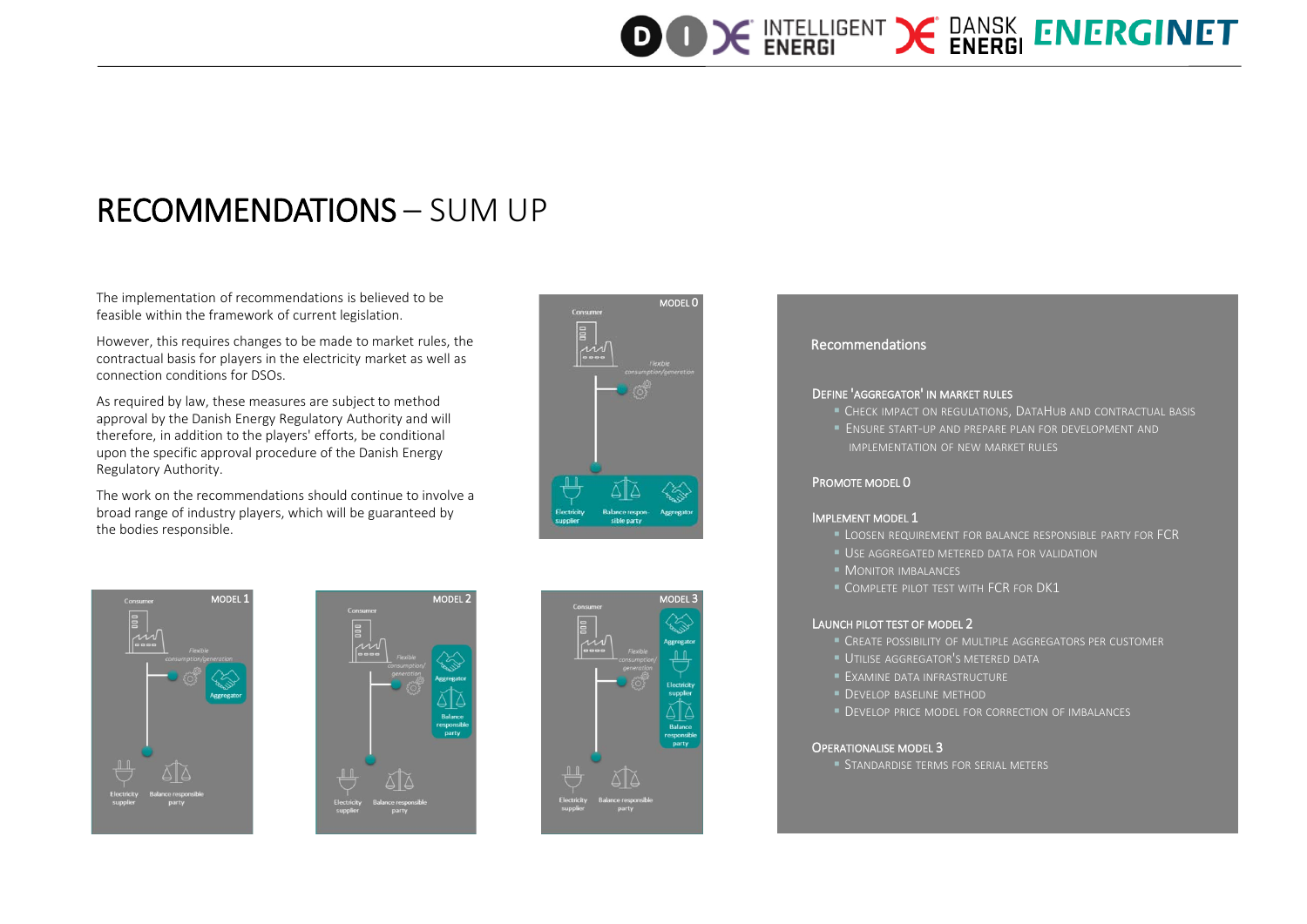## **OOK INTELLIGENT X DANSK ENERGINET**

### RECOMMENDATIONS – SUM UP

The implementation of recommendations is believed to be feasible within the framework of current legislation.

However, this requires changes to be made to market rules, the contractual basis for players in the electricity market as well as connection conditions for DSOs.

As required by law, these measures are subject to method approval by the Danish Energy Regulatory Authority and will therefore, in addition to the players' efforts, be conditional upon the specific approval procedure of the Danish Energy Regulatory Authority.

The work on the recommendations should continue to involve a broad range of industry players, which will be guaranteed by the bodies responsible.









#### Recommendations

#### DEFINE 'AGGREGATOR' IN MARKET RULES

- CHECK IMPACT ON REGULATIONS, DATAHUB AND CONTRACTUAL BASIS
- ENSURE START-UP AND PREPARE PLAN FOR DEVELOPMENT AND IMPLEMENTATION OF NEW MARKET RULES

#### PROMOTE MODEL 0

#### IMPLEMENT MODEL 1

- **LOOSEN REQUIREMENT FOR BALANCE RESPONSIBLE PARTY FOR FCR**
- USE AGGREGATED METERED DATA FOR VALIDATION
- **MONITOR IMBALANCES**
- **COMPLETE PILOT TEST WITH FCR FOR DK1**

#### LAUNCH PILOT TEST OF MODEL 2

- CREATE POSSIBILITY OF MULTIPLE AGGREGATORS PER CUSTOMER
- **UTILISE AGGREGATOR'S METERED DATA**
- **EXAMINE DATA INFRASTRUCTURE**
- **DEVELOP BASELINE METHOD**
- **DEVELOP PRICE MODEL FOR CORRECTION OF IMBALANCES**

#### OPERATIONALISE MODEL 3

**STANDARDISE TERMS FOR SERIAL METERS**